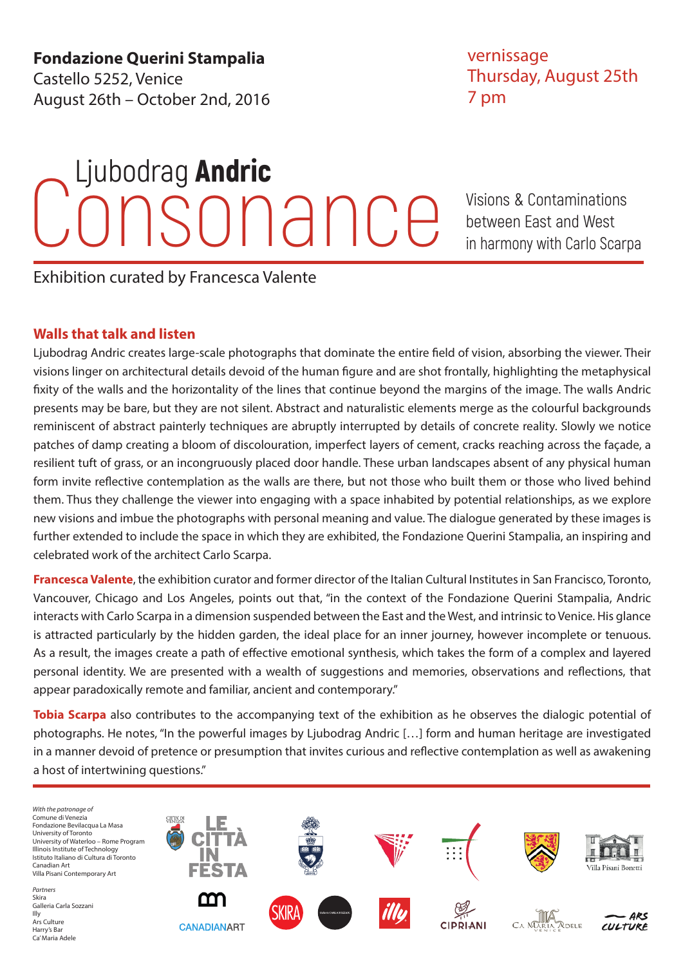**Fondazione Querini Stampalia** Castello 5252, Venice August 26th – October 2nd, 2016

### vernissage Thursday, August 25th 7 pm

# SONANCE Visions & Contaminations<br>
between East and West Ljubodrag Andric

between East and West in harmony with Carlo Scarpa

Exhibition curated by Francesca Valente

### **Walls that talk and listen**

Ljubodrag Andric creates large-scale photographs that dominate the entire field of vision, absorbing the viewer. Their visions linger on architectural details devoid of the human figure and are shot frontally, highlighting the metaphysical fixity of the walls and the horizontality of the lines that continue beyond the margins of the image. The walls Andric presents may be bare, but they are not silent. Abstract and naturalistic elements merge as the colourful backgrounds reminiscent of abstract painterly techniques are abruptly interrupted by details of concrete reality. Slowly we notice patches of damp creating a bloom of discolouration, imperfect layers of cement, cracks reaching across the façade, a resilient tuft of grass, or an incongruously placed door handle. These urban landscapes absent of any physical human form invite reflective contemplation as the walls are there, but not those who built them or those who lived behind them. Thus they challenge the viewer into engaging with a space inhabited by potential relationships, as we explore new visions and imbue the photographs with personal meaning and value. The dialogue generated by these images is further extended to include the space in which they are exhibited, the Fondazione Querini Stampalia, an inspiring and celebrated work of the architect Carlo Scarpa.

**Francesca Valente**, the exhibition curator and former director of the Italian Cultural Institutes in San Francisco, Toronto, Vancouver, Chicago and Los Angeles, points out that, "in the context of the Fondazione Querini Stampalia, Andric interacts with Carlo Scarpa in a dimension suspended between the East and the West, and intrinsic to Venice. His glance is attracted particularly by the hidden garden, the ideal place for an inner journey, however incomplete or tenuous. As a result, the images create a path of effective emotional synthesis, which takes the form of a complex and layered personal identity. We are presented with a wealth of suggestions and memories, observations and reflections, that appear paradoxically remote and familiar, ancient and contemporary."

**Tobia Scarpa** also contributes to the accompanying text of the exhibition as he observes the dialogic potential of photographs. He notes, "In the powerful images by Ljubodrag Andric […] form and human heritage are investigated in a manner devoid of pretence or presumption that invites curious and reflective contemplation as well as awakening a host of intertwining questions."

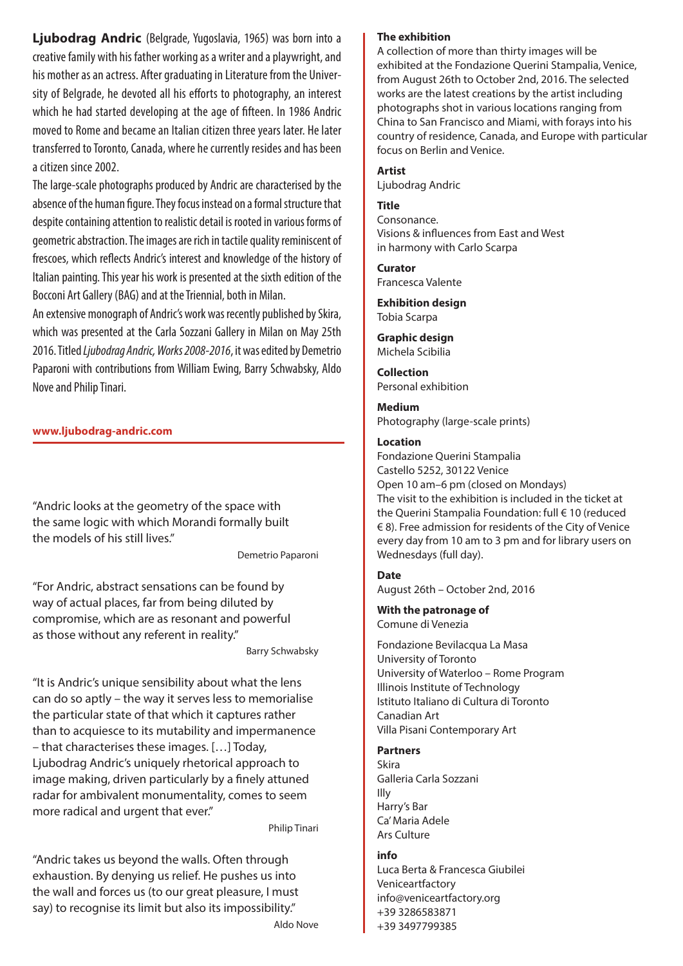**Ljubodrag Andric** (Belgrade, Yugoslavia, 1965) was born into a creative family with his father working as a writer and a playwright, and his mother as an actress. After graduating in Literature from the University of Belgrade, he devoted all his efforts to photography, an interest which he had started developing at the age of fifteen. In 1986 Andric moved to Rome and became an Italian citizen three years later. He later transferred to Toronto, Canada, where he currently resides and has been a citizen since 2002.

The large-scale photographs produced by Andric are characterised by the absence of the human figure. They focus instead on a formal structure that despite containing attention to realistic detail is rooted in various forms of geometric abstraction. The images are rich in tactile quality reminiscent of frescoes, which reflects Andric's interest and knowledge of the history of Italian painting. This year his work is presented at the sixth edition of the Bocconi Art Gallery (BAG) and at the Triennial, both in Milan.

An extensive monograph of Andric's work was recently published by Skira, which was presented at the Carla Sozzani Gallery in Milan on May 25th 2016. Titled *Ljubodrag Andric, Works 2008-2016*, it was edited by Demetrio Paparoni with contributions from William Ewing, Barry Schwabsky, Aldo Nove and Philip Tinari.

**www.ljubodrag-andric.com**

"Andric looks at the geometry of the space with the same logic with which Morandi formally built the models of his still lives."

Demetrio Paparoni

"For Andric, abstract sensations can be found by way of actual places, far from being diluted by compromise, which are as resonant and powerful as those without any referent in reality."

Barry Schwabsky

"It is Andric's unique sensibility about what the lens can do so aptly – the way it serves less to memorialise the particular state of that which it captures rather than to acquiesce to its mutability and impermanence – that characterises these images. […] Today, Ljubodrag Andric's uniquely rhetorical approach to image making, driven particularly by a finely attuned radar for ambivalent monumentality, comes to seem more radical and urgent that ever."

Philip Tinari

"Andric takes us beyond the walls. Often through exhaustion. By denying us relief. He pushes us into the wall and forces us (to our great pleasure, I must say) to recognise its limit but also its impossibility."

Aldo Nove

#### **The exhibition**

A collection of more than thirty images will be exhibited at the Fondazione Querini Stampalia, Venice, from August 26th to October 2nd, 2016. The selected works are the latest creations by the artist including photographs shot in various locations ranging from China to San Francisco and Miami, with forays into his country of residence, Canada, and Europe with particular focus on Berlin and Venice.

#### **Artist**

Ljubodrag Andric

#### **Title**

Consonance. Visions & influences from East and West in harmony with Carlo Scarpa

**Curator**

Francesca Valente **Exhibition design**

Tobia Scarpa

**Graphic design** Michela Scibilia

**Collection** Personal exhibition

**Medium** Photography (large-scale prints)

#### **Location**

Fondazione Querini Stampalia Castello 5252, 30122 Venice Open 10 am–6 pm (closed on Mondays) The visit to the exhibition is included in the ticket at the Querini Stampalia Foundation: full € 10 (reduced € 8). Free admission for residents of the City of Venice every day from 10 am to 3 pm and for library users on Wednesdays (full day).

#### **Date**

August 26th – October 2nd, 2016

**With the patronage of** Comune di Venezia

Fondazione Bevilacqua La Masa University of Toronto University of Waterloo – Rome Program Illinois Institute of Technology Istituto Italiano di Cultura di Toronto Canadian Art Villa Pisani Contemporary Art

#### **Partners**

Skira Galleria Carla Sozzani Illy Harry's Bar Ca' Maria Adele Ars Culture

#### **info**

Luca Berta & Francesca Giubilei Veniceartfactory info@veniceartfactory.org +39 3286583871 +39 3497799385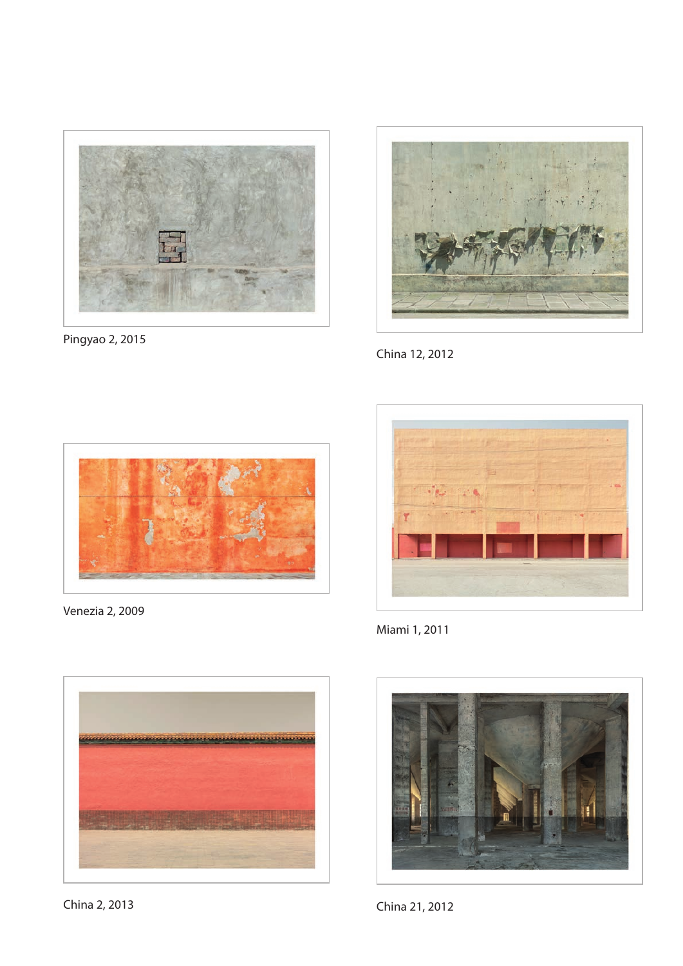

Pingyao 2, 2015



China 12, 2012



Venezia 2, 2009



China 2, 2013



Miami 1, 2011



China 21, 2012